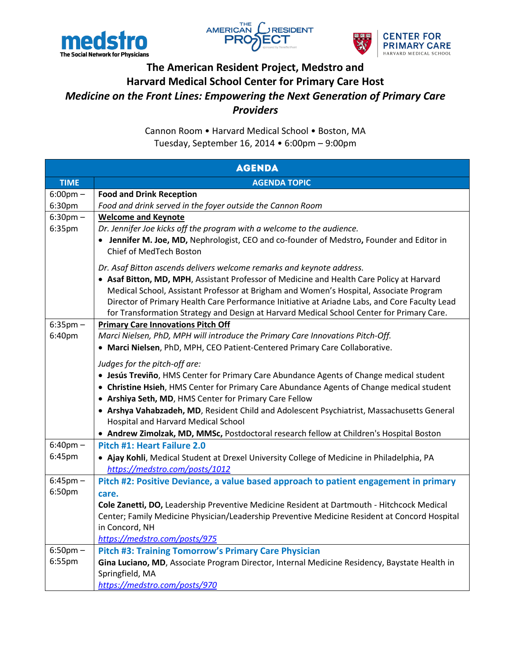





## **The American Resident Project, Medstro and Harvard Medical School Center for Primary Care Host** *Medicine on the Front Lines: Empowering the Next Generation of Primary Care Providers*

Cannon Room • Harvard Medical School • Boston, MA Tuesday, September 16, 2014 • 6:00pm – 9:00pm

| <b>AGENDA</b>      |                                                                                                                      |  |
|--------------------|----------------------------------------------------------------------------------------------------------------------|--|
| <b>TIME</b>        | <b>AGENDA TOPIC</b>                                                                                                  |  |
| $6:00 \text{pm} -$ | <b>Food and Drink Reception</b>                                                                                      |  |
| 6:30pm             | Food and drink served in the foyer outside the Cannon Room                                                           |  |
| $6:30$ pm $-$      | <b>Welcome and Keynote</b>                                                                                           |  |
| 6:35pm             | Dr. Jennifer Joe kicks off the program with a welcome to the audience.                                               |  |
|                    | • Jennifer M. Joe, MD, Nephrologist, CEO and co-founder of Medstro, Founder and Editor in<br>Chief of MedTech Boston |  |
|                    | Dr. Asaf Bitton ascends delivers welcome remarks and keynote address.                                                |  |
|                    | • Asaf Bitton, MD, MPH, Assistant Professor of Medicine and Health Care Policy at Harvard                            |  |
|                    | Medical School, Assistant Professor at Brigham and Women's Hospital, Associate Program                               |  |
|                    | Director of Primary Health Care Performance Initiative at Ariadne Labs, and Core Faculty Lead                        |  |
|                    | for Transformation Strategy and Design at Harvard Medical School Center for Primary Care.                            |  |
| $6:35$ pm $-$      | <b>Primary Care Innovations Pitch Off</b>                                                                            |  |
| 6:40pm             | Marci Nielsen, PhD, MPH will introduce the Primary Care Innovations Pitch-Off.                                       |  |
|                    | • Marci Nielsen, PhD, MPH, CEO Patient-Centered Primary Care Collaborative.                                          |  |
|                    | Judges for the pitch-off are:                                                                                        |  |
|                    | • Jesús Treviño, HMS Center for Primary Care Abundance Agents of Change medical student                              |  |
|                    | • Christine Hsieh, HMS Center for Primary Care Abundance Agents of Change medical student                            |  |
|                    | • Arshiya Seth, MD, HMS Center for Primary Care Fellow                                                               |  |
|                    | • Arshya Vahabzadeh, MD, Resident Child and Adolescent Psychiatrist, Massachusetts General                           |  |
|                    | Hospital and Harvard Medical School                                                                                  |  |
|                    | • Andrew Zimolzak, MD, MMSc, Postdoctoral research fellow at Children's Hospital Boston                              |  |
| $6:40$ pm $-$      | Pitch #1: Heart Failure 2.0                                                                                          |  |
| 6:45pm             | • Ajay Kohli, Medical Student at Drexel University College of Medicine in Philadelphia, PA                           |  |
|                    | https://medstro.com/posts/1012                                                                                       |  |
| $6:45$ pm $-$      | Pitch #2: Positive Deviance, a value based approach to patient engagement in primary                                 |  |
| 6:50pm             | care.                                                                                                                |  |
|                    | Cole Zanetti, DO, Leadership Preventive Medicine Resident at Dartmouth - Hitchcock Medical                           |  |
|                    | Center; Family Medicine Physician/Leadership Preventive Medicine Resident at Concord Hospital                        |  |
|                    | in Concord, NH                                                                                                       |  |
|                    | https://medstro.com/posts/975                                                                                        |  |
| $6:50$ pm $-$      | <b>Pitch #3: Training Tomorrow's Primary Care Physician</b>                                                          |  |
| 6:55pm             | Gina Luciano, MD, Associate Program Director, Internal Medicine Residency, Baystate Health in                        |  |
|                    | Springfield, MA                                                                                                      |  |
|                    | https://medstro.com/posts/970                                                                                        |  |